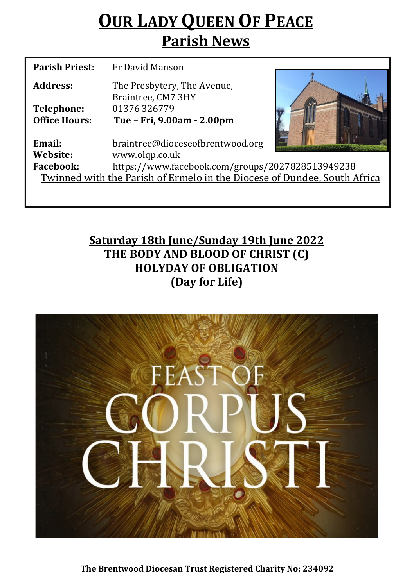## **OUR LADY QUEEN OF PEACE Parish News**

| <b>Parish Priest:</b>                                                    | Fr David Manson                                   |  |  |  |
|--------------------------------------------------------------------------|---------------------------------------------------|--|--|--|
| Address:                                                                 | The Presbytery, The Avenue,<br>Braintree, CM7 3HY |  |  |  |
| <b>Telephone:</b>                                                        | 01376326779                                       |  |  |  |
| <b>Office Hours:</b>                                                     | Tue - Fri, 9.00am - 2.00pm                        |  |  |  |
| Email:                                                                   | braintree@dioceseofbrentwood.org                  |  |  |  |
| Website:                                                                 | www.olqp.co.uk                                    |  |  |  |
| <b>Facebook:</b>                                                         | https://www.facebook.com/groups/2027828513949238  |  |  |  |
| Twinned with the Parish of Ermelo in the Diocese of Dundee, South Africa |                                                   |  |  |  |
|                                                                          |                                                   |  |  |  |

**Saturday 18th June/Sunday 19th June 2022 THE BODY AND BLOOD OF CHRIST (C) HOLYDAY OF OBLIGATION (Day for Life)**



**The Brentwood Diocesan Trust Registered Charity No: 234092**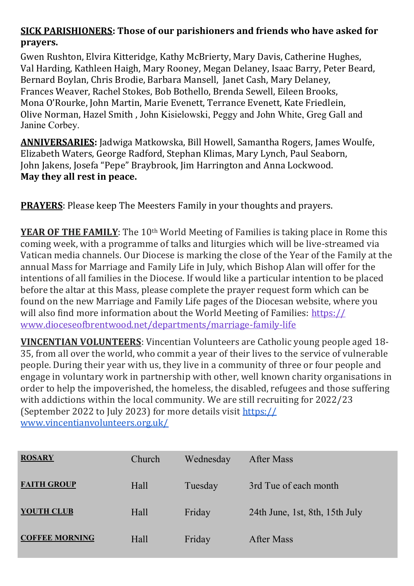## **SICK PARISHIONERS: Those of our parishioners and friends who have asked for prayers.**

Gwen Rushton, Elvira Kitteridge, Kathy McBrierty, Mary Davis, Catherine Hughes, Val Harding, Kathleen Haigh, Mary Rooney, Megan Delaney, Isaac Barry, Peter Beard, Bernard Boylan, Chris Brodie, Barbara Mansell, Janet Cash, Mary Delaney, Frances Weaver, Rachel Stokes, Bob Bothello, Brenda Sewell, Eileen Brooks, Mona O'Rourke, John Martin, Marie Evenett, Terrance Evenett, Kate Friedlein, Olive Norman, Hazel Smith , John Kisielowski, Peggy and John White, Greg Gall and Janine Corbey.

**ANNIVERSARIES:** Jadwiga Matkowska, Bill Howell, Samantha Rogers, James Woulfe, Elizabeth Waters, George Radford, Stephan Klimas, Mary Lynch, Paul Seaborn, John Jakens, Josefa "Pepe" Braybrook, Jim Harrington and Anna Lockwood. **May they all rest in peace.** 

**PRAYERS**: Please keep The Meesters Family in your thoughts and prayers.

**YEAR OF THE FAMILY**: The 10<sup>th</sup> World Meeting of Families is taking place in Rome this coming week, with a programme of talks and liturgies which will be live-streamed via Vatican media channels. Our Diocese is marking the close of the Year of the Family at the annual Mass for Marriage and Family Life in July, which Bishop Alan will offer for the intentions of all families in the Diocese. If would like a particular intention to be placed before the altar at this Mass, please complete the prayer request form which can be found on the new Marriage and Family Life pages of the Diocesan website, where you will also find more information about the World Meeting of Families: [https://](https://www.dioceseofbrentwood.net/departments/marriage-family-life/x-world-meeting-of-families/) [www.dioceseofbrentwood.net/departments/marriage](https://www.dioceseofbrentwood.net/departments/marriage-family-life/x-world-meeting-of-families/)-family-life

**VINCENTIAN VOLUNTEERS**: Vincentian Volunteers are Catholic young people aged 18- 35, from all over the world, who commit a year of their lives to the service of vulnerable people. During their year with us, they live in a community of three or four people and engage in voluntary work in partnership with other, well known charity organisations in order to help the impoverished, the homeless, the disabled, refugees and those suffering with addictions within the local community. We are still recruiting for 2022/23 (September 2022 to July 2023) for more details visit [https://](https://www.vincentianvolunteers.org.uk/) [www.vincentianvolunteers.org.uk/](https://www.vincentianvolunteers.org.uk/)

| <b>ROSARY</b>         | Church | Wednesday | After Mass                     |
|-----------------------|--------|-----------|--------------------------------|
| <b>FAITH GROUP</b>    | Hall   | Tuesday   | 3rd Tue of each month          |
| <b>YOUTH CLUB</b>     | Hall   | Friday    | 24th June, 1st, 8th, 15th July |
| <b>COFFEE MORNING</b> | Hall   | Friday    | After Mass                     |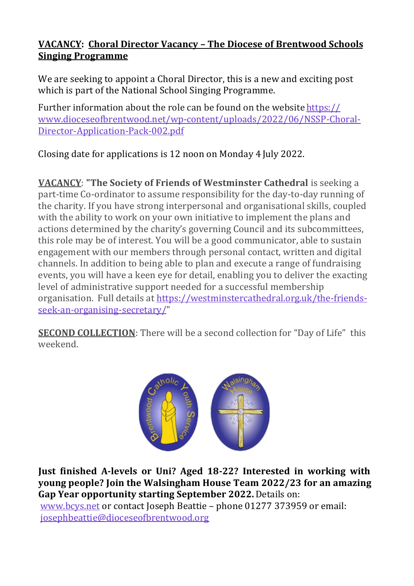## **VACANCY: Choral Director Vacancy – The Diocese of Brentwood Schools Singing Programme**

We are seeking to appoint a Choral Director, this is a new and exciting post which is part of the National School Singing Programme.

Further information about the role can be found on the website [https://](https://www.dioceseofbrentwood.net/wp-content/uploads/2022/06/NSSP-Choral-Director-Application-Pack-002.pdf) [www.dioceseofbrentwood.net/wp](https://www.dioceseofbrentwood.net/wp-content/uploads/2022/06/NSSP-Choral-Director-Application-Pack-002.pdf)-content/uploads/2022/06/NSSP-Choral-Director-[Application](https://www.dioceseofbrentwood.net/wp-content/uploads/2022/06/NSSP-Choral-Director-Application-Pack-002.pdf)-Pack-002.pdf

Closing date for applications is 12 noon on Monday 4 July 2022.

**VACANCY**: **"The Society of Friends of Westminster Cathedral** is seeking a part-time Co-ordinator to assume responsibility for the day-to-day running of the charity. If you have strong interpersonal and organisational skills, coupled with the ability to work on your own initiative to implement the plans and actions determined by the charity's governing Council and its subcommittees, this role may be of interest. You will be a good communicator, able to sustain engagement with our members through personal contact, written and digital channels. In addition to being able to plan and execute a range of fundraising events, you will have a keen eye for detail, enabling you to deliver the exacting level of administrative support needed for a successful membership organisation. Full details at [https://westminstercathedral.org.uk/the](https://westminstercathedral.org.uk/the-friends-seek-an-organising-secretary/)-friendsseek-an-organising-[secretary/"](https://westminstercathedral.org.uk/the-friends-seek-an-organising-secretary/)

**SECOND COLLECTION**: There will be a second collection for "Day of Life" this weekend.



**Just finished A-levels or Uni? Aged 18-22? Interested in working with young people? Join the Walsingham House Team 2022/23 for an amazing Gap Year opportunity starting September 2022.** Details on:

[www.bcys.net](http://www.bcys.net) or contact Joseph Beattie – phone 01277 373959 or email: [josephbeattie@dioceseofbrentwood.org](mailto:josephbeattie@dioceseofbrentwood.org)